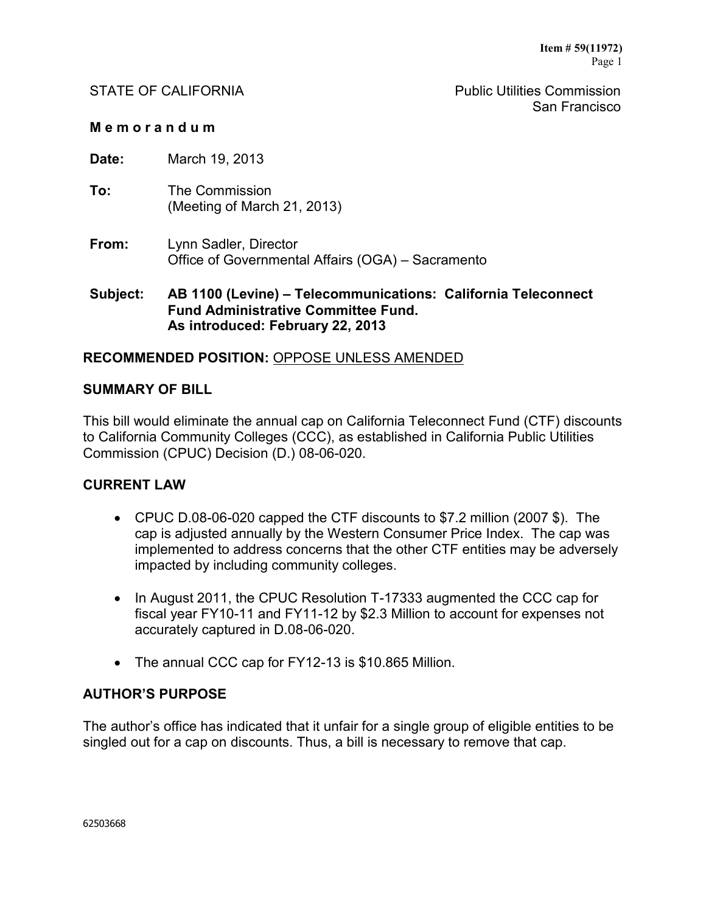STATE OF CALIFORNIA **Public Utilities Commission** San Francisco

#### **M e m o r a n d u m**

**Date:** March 19, 2013

- **To:** The Commission (Meeting of March 21, 2013)
- **From:** Lynn Sadler, Director Office of Governmental Affairs (OGA) – Sacramento

## **Subject: AB 1100 (Levine) – Telecommunications: California Teleconnect Fund Administrative Committee Fund. As introduced: February 22, 2013**

# **RECOMMENDED POSITION:** OPPOSE UNLESS AMENDED

#### **SUMMARY OF BILL**

This bill would eliminate the annual cap on California Teleconnect Fund (CTF) discounts to California Community Colleges (CCC), as established in California Public Utilities Commission (CPUC) Decision (D.) 08-06-020.

#### **CURRENT LAW**

- CPUC D.08-06-020 capped the CTF discounts to \$7.2 million (2007 \$). The cap is adjusted annually by the Western Consumer Price Index. The cap was implemented to address concerns that the other CTF entities may be adversely impacted by including community colleges.
- In August 2011, the CPUC Resolution T-17333 augmented the CCC cap for fiscal year FY10-11 and FY11-12 by \$2.3 Million to account for expenses not accurately captured in D.08-06-020.
- The annual CCC cap for FY12-13 is \$10.865 Million.

#### **AUTHOR'S PURPOSE**

The author's office has indicated that it unfair for a single group of eligible entities to be singled out for a cap on discounts. Thus, a bill is necessary to remove that cap.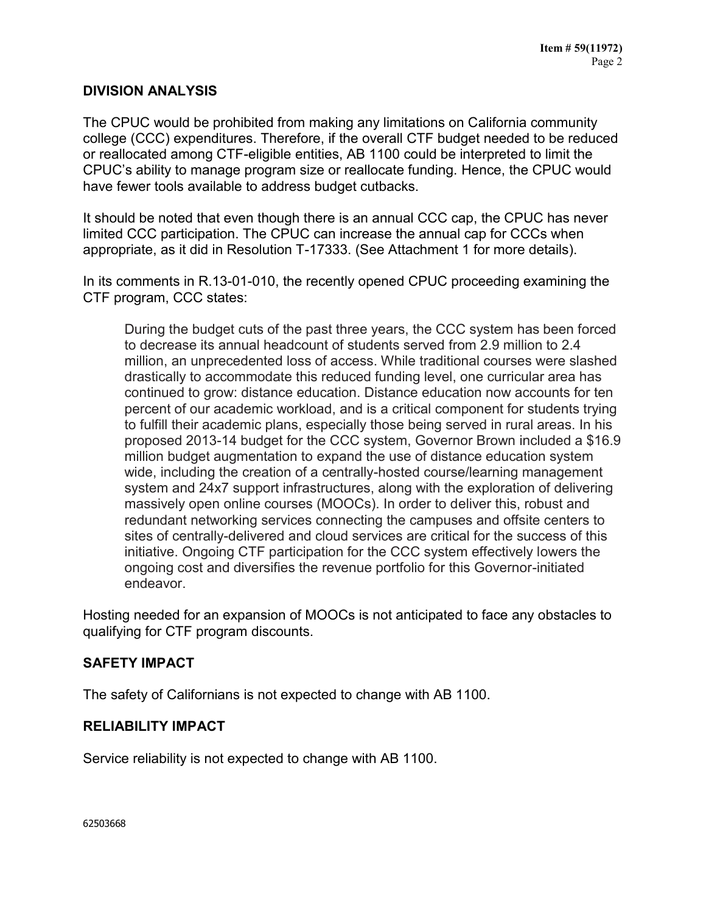# **DIVISION ANALYSIS**

The CPUC would be prohibited from making any limitations on California community college (CCC) expenditures. Therefore, if the overall CTF budget needed to be reduced or reallocated among CTF-eligible entities, AB 1100 could be interpreted to limit the CPUC's ability to manage program size or reallocate funding. Hence, the CPUC would have fewer tools available to address budget cutbacks.

It should be noted that even though there is an annual CCC cap, the CPUC has never limited CCC participation. The CPUC can increase the annual cap for CCCs when appropriate, as it did in Resolution T-17333. (See Attachment 1 for more details).

In its comments in R.13-01-010, the recently opened CPUC proceeding examining the CTF program, CCC states:

During the budget cuts of the past three years, the CCC system has been forced to decrease its annual headcount of students served from 2.9 million to 2.4 million, an unprecedented loss of access. While traditional courses were slashed drastically to accommodate this reduced funding level, one curricular area has continued to grow: distance education. Distance education now accounts for ten percent of our academic workload, and is a critical component for students trying to fulfill their academic plans, especially those being served in rural areas. In his proposed 2013-14 budget for the CCC system, Governor Brown included a \$16.9 million budget augmentation to expand the use of distance education system wide, including the creation of a centrally-hosted course/learning management system and 24x7 support infrastructures, along with the exploration of delivering massively open online courses (MOOCs). In order to deliver this, robust and redundant networking services connecting the campuses and offsite centers to sites of centrally-delivered and cloud services are critical for the success of this initiative. Ongoing CTF participation for the CCC system effectively lowers the ongoing cost and diversifies the revenue portfolio for this Governor-initiated endeavor.

Hosting needed for an expansion of MOOCs is not anticipated to face any obstacles to qualifying for CTF program discounts.

# **SAFETY IMPACT**

The safety of Californians is not expected to change with AB 1100.

#### **RELIABILITY IMPACT**

Service reliability is not expected to change with AB 1100.

62503668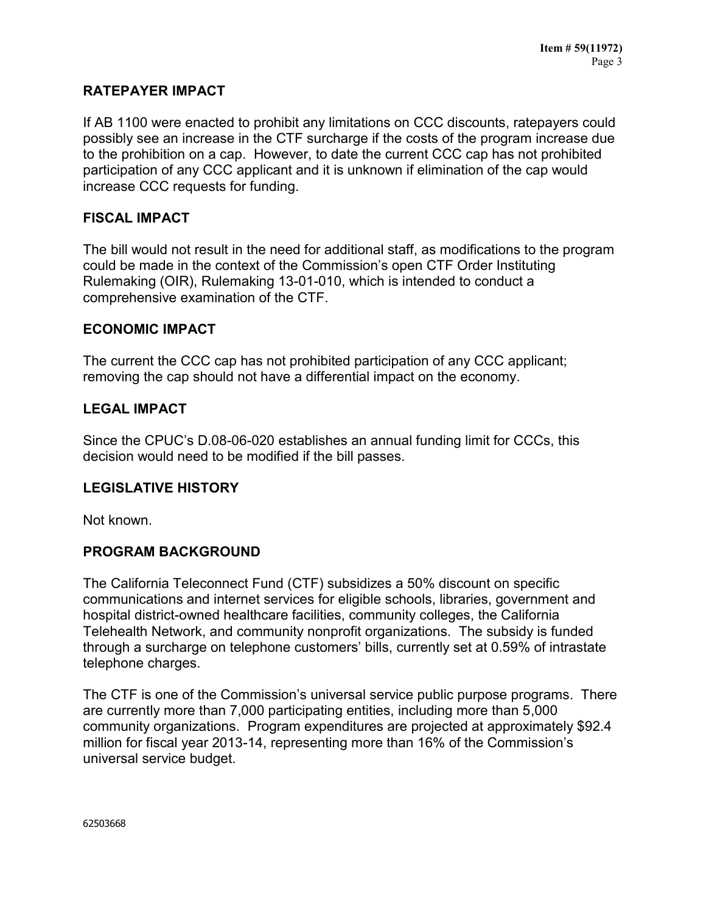# **RATEPAYER IMPACT**

If AB 1100 were enacted to prohibit any limitations on CCC discounts, ratepayers could possibly see an increase in the CTF surcharge if the costs of the program increase due to the prohibition on a cap. However, to date the current CCC cap has not prohibited participation of any CCC applicant and it is unknown if elimination of the cap would increase CCC requests for funding.

# **FISCAL IMPACT**

The bill would not result in the need for additional staff, as modifications to the program could be made in the context of the Commission's open CTF Order Instituting Rulemaking (OIR), Rulemaking 13-01-010, which is intended to conduct a comprehensive examination of the CTF.

#### **ECONOMIC IMPACT**

The current the CCC cap has not prohibited participation of any CCC applicant; removing the cap should not have a differential impact on the economy.

## **LEGAL IMPACT**

Since the CPUC's D.08-06-020 establishes an annual funding limit for CCCs, this decision would need to be modified if the bill passes.

#### **LEGISLATIVE HISTORY**

Not known.

#### **PROGRAM BACKGROUND**

The California Teleconnect Fund (CTF) subsidizes a 50% discount on specific communications and internet services for eligible schools, libraries, government and hospital district-owned healthcare facilities, community colleges, the California Telehealth Network, and community nonprofit organizations. The subsidy is funded through a surcharge on telephone customers' bills, currently set at 0.59% of intrastate telephone charges.

The CTF is one of the Commission's universal service public purpose programs. There are currently more than 7,000 participating entities, including more than 5,000 community organizations. Program expenditures are projected at approximately \$92.4 million for fiscal year 2013-14, representing more than 16% of the Commission's universal service budget.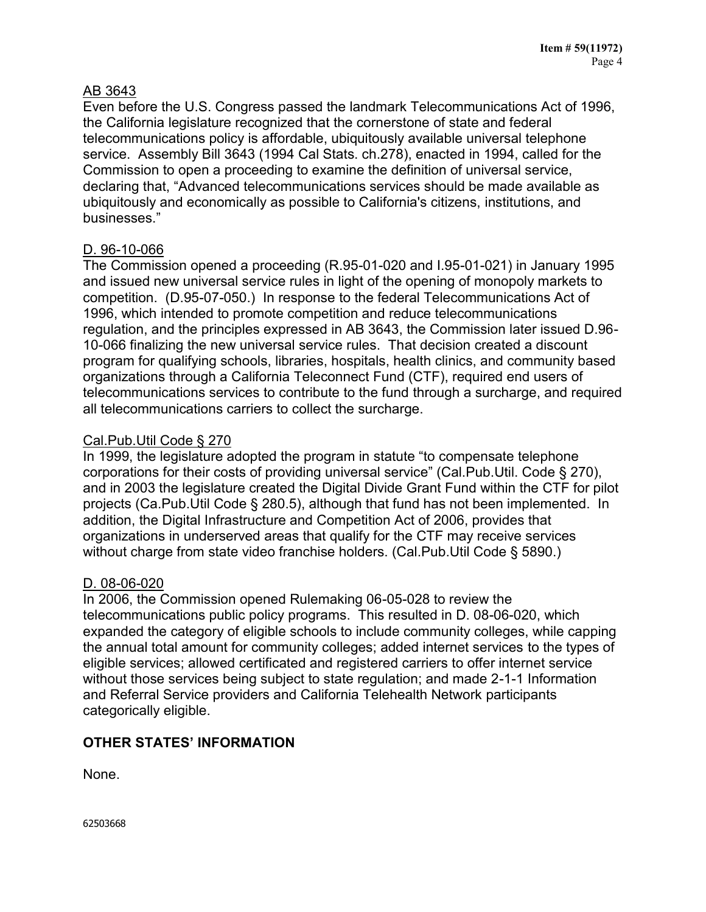# AB 3643

Even before the U.S. Congress passed the landmark Telecommunications Act of 1996, the California legislature recognized that the cornerstone of state and federal telecommunications policy is affordable, ubiquitously available universal telephone service. Assembly Bill 3643 (1994 Cal Stats. ch.278), enacted in 1994, called for the Commission to open a proceeding to examine the definition of universal service, declaring that, "Advanced telecommunications services should be made available as ubiquitously and economically as possible to California's citizens, institutions, and businesses."

# D. 96-10-066

The Commission opened a proceeding (R.95-01-020 and I.95-01-021) in January 1995 and issued new universal service rules in light of the opening of monopoly markets to competition. (D.95-07-050.) In response to the federal Telecommunications Act of 1996, which intended to promote competition and reduce telecommunications regulation, and the principles expressed in AB 3643, the Commission later issued D.96- 10-066 finalizing the new universal service rules. That decision created a discount program for qualifying schools, libraries, hospitals, health clinics, and community based organizations through a California Teleconnect Fund (CTF), required end users of telecommunications services to contribute to the fund through a surcharge, and required all telecommunications carriers to collect the surcharge.

# Cal.Pub.Util Code § 270

In 1999, the legislature adopted the program in statute "to compensate telephone corporations for their costs of providing universal service" (Cal.Pub.Util. Code § 270), and in 2003 the legislature created the Digital Divide Grant Fund within the CTF for pilot projects (Ca.Pub.Util Code § 280.5), although that fund has not been implemented. In addition, the Digital Infrastructure and Competition Act of 2006, provides that organizations in underserved areas that qualify for the CTF may receive services without charge from state video franchise holders. (Cal.Pub.Util Code § 5890.)

# D. 08-06-020

In 2006, the Commission opened Rulemaking 06-05-028 to review the telecommunications public policy programs. This resulted in D. 08-06-020, which expanded the category of eligible schools to include community colleges, while capping the annual total amount for community colleges; added internet services to the types of eligible services; allowed certificated and registered carriers to offer internet service without those services being subject to state regulation; and made 2-1-1 Information and Referral Service providers and California Telehealth Network participants categorically eligible.

# **OTHER STATES' INFORMATION**

None.

62503668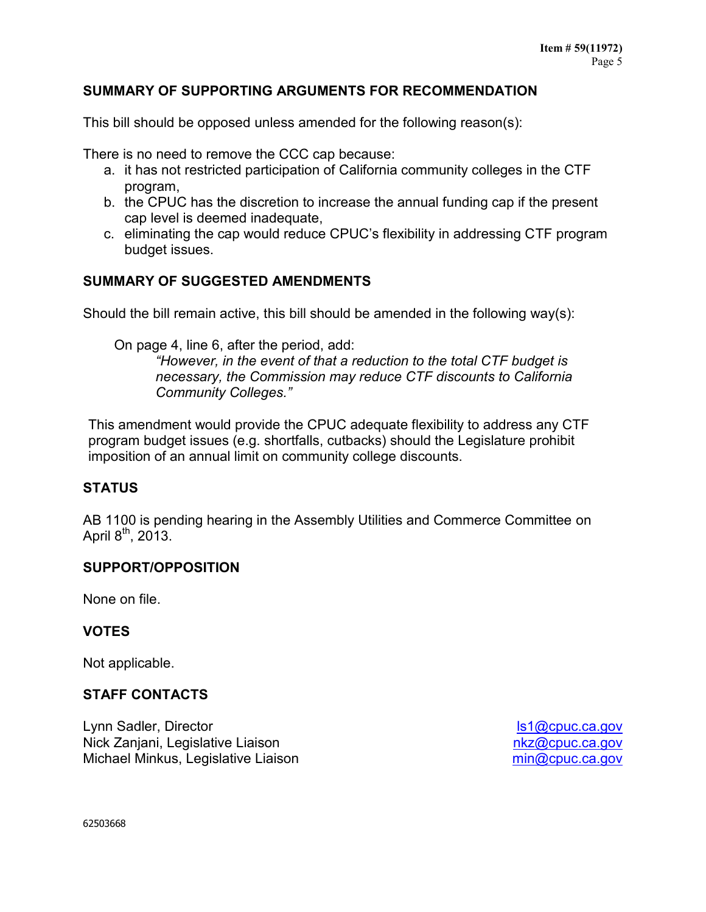# **SUMMARY OF SUPPORTING ARGUMENTS FOR RECOMMENDATION**

This bill should be opposed unless amended for the following reason(s):

There is no need to remove the CCC cap because:

- a. it has not restricted participation of California community colleges in the CTF program,
- b. the CPUC has the discretion to increase the annual funding cap if the present cap level is deemed inadequate,
- c. eliminating the cap would reduce CPUC's flexibility in addressing CTF program budget issues.

# **SUMMARY OF SUGGESTED AMENDMENTS**

Should the bill remain active, this bill should be amended in the following way(s):

On page 4, line 6, after the period, add:

*"However, in the event of that a reduction to the total CTF budget is necessary, the Commission may reduce CTF discounts to California Community Colleges."*

This amendment would provide the CPUC adequate flexibility to address any CTF program budget issues (e.g. shortfalls, cutbacks) should the Legislature prohibit imposition of an annual limit on community college discounts.

# **STATUS**

AB 1100 is pending hearing in the Assembly Utilities and Commerce Committee on April  $8^{th}$ , 2013.

# **SUPPORT/OPPOSITION**

None on file.

# **VOTES**

Not applicable.

# **STAFF CONTACTS**

Lynn Sadler, Director Nick Zanjani, Legislative Liaison Michael Minkus, Legislative Liaison

[ls1@cpuc.ca.gov](mailto:ls1@cpuc.ca.gov) [nkz@cpuc.ca.gov](mailto:nkz@cpuc.ca.gov) [min@cpuc.ca.gov](mailto:min@cpuc.ca.gov)

62503668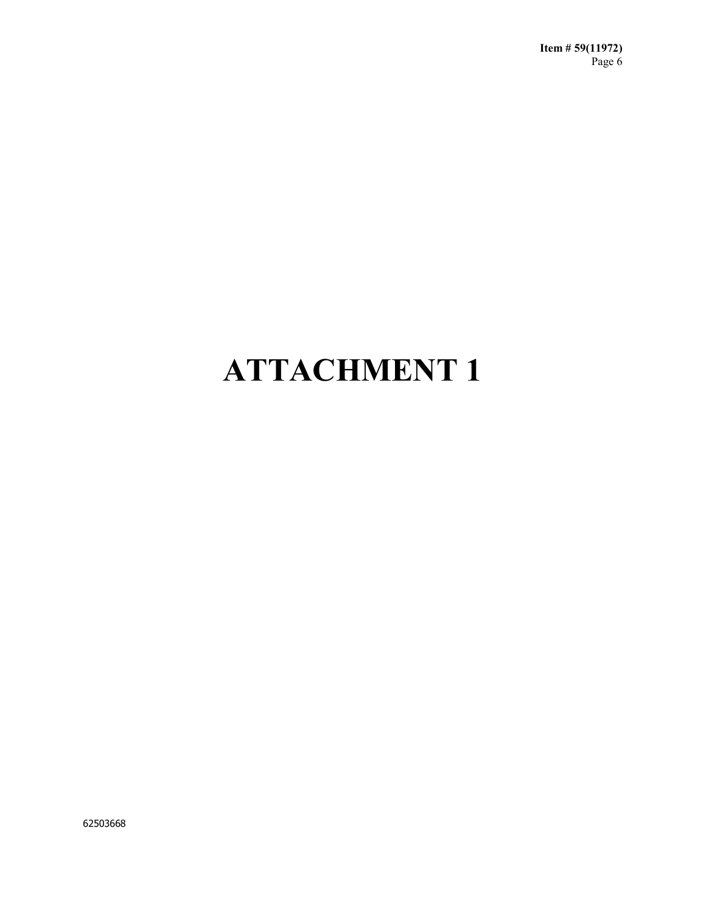# **ATTACHMENT 1**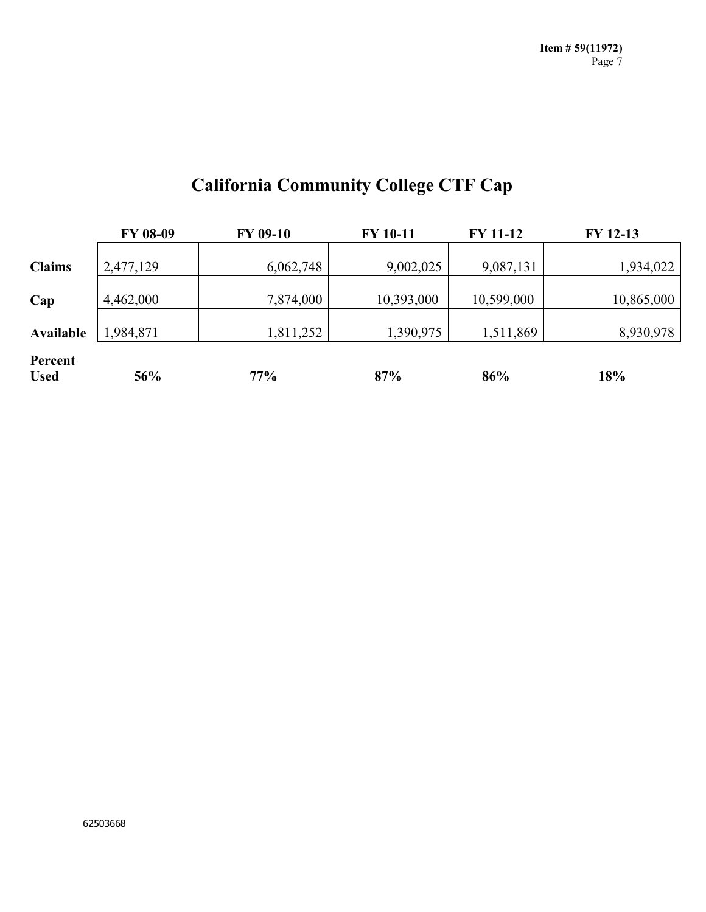| <b>California Community College CTF Cap</b> |  |  |
|---------------------------------------------|--|--|
|---------------------------------------------|--|--|

|                        | <b>FY 08-09</b> | FY 09-10  | FY 10-11   | <b>FY 11-12</b> | FY 12-13   |
|------------------------|-----------------|-----------|------------|-----------------|------------|
| <b>Claims</b>          | 2,477,129       | 6,062,748 | 9,002,025  | 9,087,131       | 1,934,022  |
| Cap                    | 4,462,000       | 7,874,000 | 10,393,000 | 10,599,000      | 10,865,000 |
| Available              | 1,984,871       | 1,811,252 | 1,390,975  | 1,511,869       | 8,930,978  |
| Percent<br><b>Used</b> | 56%             | 77%       | 87%        | 86%             | 18%        |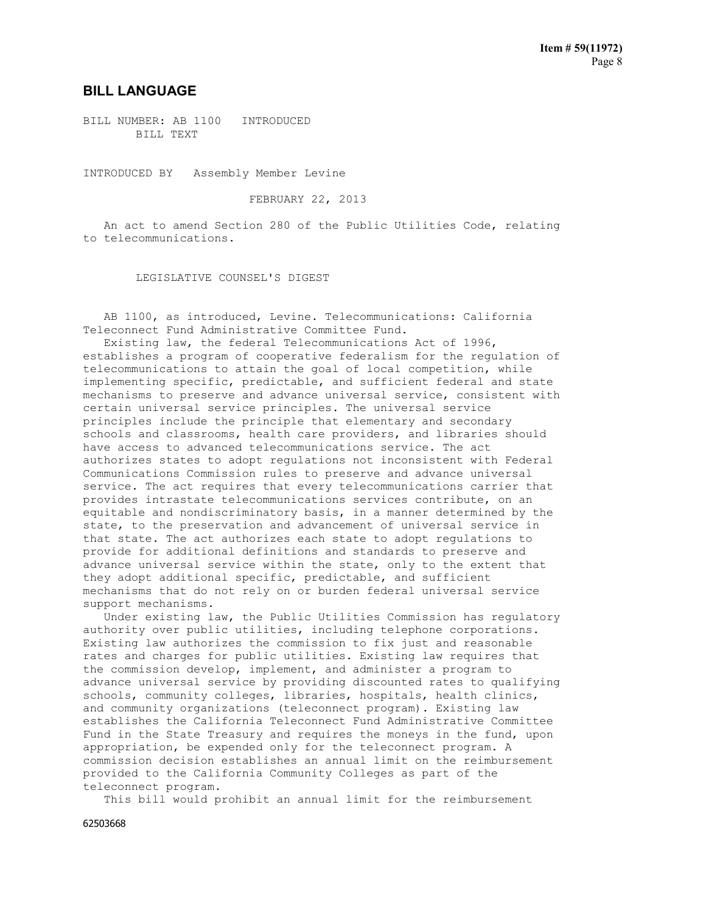#### **BILL LANGUAGE**

BILL NUMBER: AB 1100 INTRODUCED BILL TEXT

INTRODUCED BY Assembly Member Levine

FEBRUARY 22, 2013

 An act to amend Section 280 of the Public Utilities Code, relating to telecommunications.

LEGISLATIVE COUNSEL'S DIGEST

 AB 1100, as introduced, Levine. Telecommunications: California Teleconnect Fund Administrative Committee Fund.

 Existing law, the federal Telecommunications Act of 1996, establishes a program of cooperative federalism for the regulation of telecommunications to attain the goal of local competition, while implementing specific, predictable, and sufficient federal and state mechanisms to preserve and advance universal service, consistent with certain universal service principles. The universal service principles include the principle that elementary and secondary schools and classrooms, health care providers, and libraries should have access to advanced telecommunications service. The act authorizes states to adopt regulations not inconsistent with Federal Communications Commission rules to preserve and advance universal service. The act requires that every telecommunications carrier that provides intrastate telecommunications services contribute, on an equitable and nondiscriminatory basis, in a manner determined by the state, to the preservation and advancement of universal service in that state. The act authorizes each state to adopt regulations to provide for additional definitions and standards to preserve and advance universal service within the state, only to the extent that they adopt additional specific, predictable, and sufficient mechanisms that do not rely on or burden federal universal service support mechanisms.

 Under existing law, the Public Utilities Commission has regulatory authority over public utilities, including telephone corporations. Existing law authorizes the commission to fix just and reasonable rates and charges for public utilities. Existing law requires that the commission develop, implement, and administer a program to advance universal service by providing discounted rates to qualifying schools, community colleges, libraries, hospitals, health clinics, and community organizations (teleconnect program). Existing law establishes the California Teleconnect Fund Administrative Committee Fund in the State Treasury and requires the moneys in the fund, upon appropriation, be expended only for the teleconnect program. A commission decision establishes an annual limit on the reimbursement provided to the California Community Colleges as part of the teleconnect program.

This bill would prohibit an annual limit for the reimbursement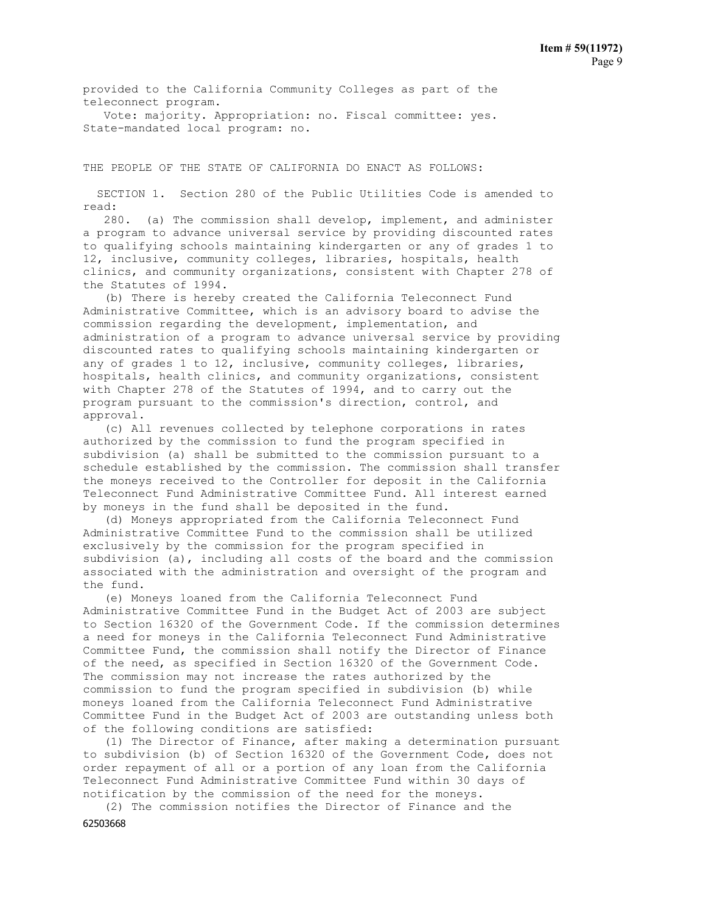provided to the California Community Colleges as part of the teleconnect program.

 Vote: majority. Appropriation: no. Fiscal committee: yes. State-mandated local program: no.

THE PEOPLE OF THE STATE OF CALIFORNIA DO ENACT AS FOLLOWS:

 SECTION 1. Section 280 of the Public Utilities Code is amended to read:

 280. (a) The commission shall develop, implement, and administer a program to advance universal service by providing discounted rates to qualifying schools maintaining kindergarten or any of grades 1 to 12, inclusive, community colleges, libraries, hospitals, health clinics, and community organizations, consistent with Chapter 278 of the Statutes of 1994.

 (b) There is hereby created the California Teleconnect Fund Administrative Committee, which is an advisory board to advise the commission regarding the development, implementation, and administration of a program to advance universal service by providing discounted rates to qualifying schools maintaining kindergarten or any of grades 1 to 12, inclusive, community colleges, libraries, hospitals, health clinics, and community organizations, consistent with Chapter 278 of the Statutes of 1994, and to carry out the program pursuant to the commission's direction, control, and approval.

 (c) All revenues collected by telephone corporations in rates authorized by the commission to fund the program specified in subdivision (a) shall be submitted to the commission pursuant to a schedule established by the commission. The commission shall transfer the moneys received to the Controller for deposit in the California Teleconnect Fund Administrative Committee Fund. All interest earned by moneys in the fund shall be deposited in the fund.

 (d) Moneys appropriated from the California Teleconnect Fund Administrative Committee Fund to the commission shall be utilized exclusively by the commission for the program specified in subdivision (a), including all costs of the board and the commission associated with the administration and oversight of the program and the fund.

 (e) Moneys loaned from the California Teleconnect Fund Administrative Committee Fund in the Budget Act of 2003 are subject to Section 16320 of the Government Code. If the commission determines a need for moneys in the California Teleconnect Fund Administrative Committee Fund, the commission shall notify the Director of Finance of the need, as specified in Section 16320 of the Government Code. The commission may not increase the rates authorized by the commission to fund the program specified in subdivision (b) while moneys loaned from the California Teleconnect Fund Administrative Committee Fund in the Budget Act of 2003 are outstanding unless both of the following conditions are satisfied:

 (1) The Director of Finance, after making a determination pursuant to subdivision (b) of Section 16320 of the Government Code, does not order repayment of all or a portion of any loan from the California Teleconnect Fund Administrative Committee Fund within 30 days of notification by the commission of the need for the moneys.

(2) The commission notifies the Director of Finance and the